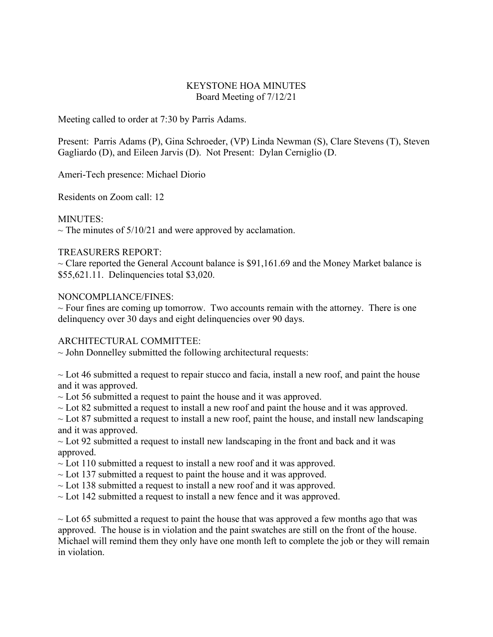## KEYSTONE HOA MINUTES Board Meeting of 7/12/21

Meeting called to order at 7:30 by Parris Adams.

Present: Parris Adams (P), Gina Schroeder, (VP) Linda Newman (S), Clare Stevens (T), Steven Gagliardo (D), and Eileen Jarvis (D). Not Present: Dylan Cerniglio (D.

Ameri-Tech presence: Michael Diorio

Residents on Zoom call: 12

MINUTES:

 $\sim$  The minutes of 5/10/21 and were approved by acclamation.

# TREASURERS REPORT:

 $\sim$  Clare reported the General Account balance is \$91,161.69 and the Money Market balance is \$55,621.11. Delinquencies total \$3,020.

## NONCOMPLIANCE/FINES:

 $\sim$  Four fines are coming up tomorrow. Two accounts remain with the attorney. There is one delinquency over 30 days and eight delinquencies over 90 days.

# ARCHITECTURAL COMMITTEE:

 $\sim$  John Donnelley submitted the following architectural requests:

 $\sim$  Lot 46 submitted a request to repair stucco and facia, install a new roof, and paint the house and it was approved.

 $\sim$  Lot 56 submitted a request to paint the house and it was approved.

 $\sim$  Lot 82 submitted a request to install a new roof and paint the house and it was approved.

 $\sim$  Lot 87 submitted a request to install a new roof, paint the house, and install new landscaping and it was approved.

 $\sim$  Lot 92 submitted a request to install new landscaping in the front and back and it was approved.

- $\sim$  Lot 110 submitted a request to install a new roof and it was approved.
- $\sim$  Lot 137 submitted a request to paint the house and it was approved.
- $\sim$  Lot 138 submitted a request to install a new roof and it was approved.
- $\sim$  Lot 142 submitted a request to install a new fence and it was approved.

 $\sim$  Lot 65 submitted a request to paint the house that was approved a few months ago that was approved. The house is in violation and the paint swatches are still on the front of the house. Michael will remind them they only have one month left to complete the job or they will remain in violation.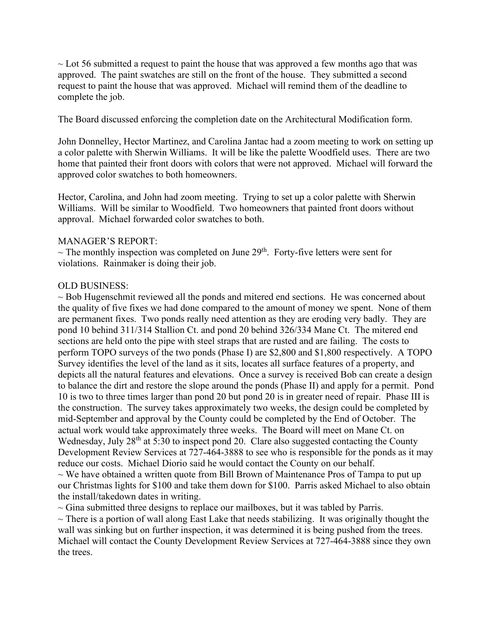$\sim$  Lot 56 submitted a request to paint the house that was approved a few months ago that was approved. The paint swatches are still on the front of the house. They submitted a second request to paint the house that was approved. Michael will remind them of the deadline to complete the job.

The Board discussed enforcing the completion date on the Architectural Modification form.

John Donnelley, Hector Martinez, and Carolina Jantac had a zoom meeting to work on setting up a color palette with Sherwin Williams. It will be like the palette Woodfield uses. There are two home that painted their front doors with colors that were not approved. Michael will forward the approved color swatches to both homeowners.

Hector, Carolina, and John had zoom meeting. Trying to set up a color palette with Sherwin Williams. Will be similar to Woodfield. Two homeowners that painted front doors without approval. Michael forwarded color swatches to both.

## MANAGER'S REPORT:

 $\sim$  The monthly inspection was completed on June 29<sup>th</sup>. Forty-five letters were sent for violations. Rainmaker is doing their job.

# OLD BUSINESS:

 $\sim$  Bob Hugenschmit reviewed all the ponds and mitered end sections. He was concerned about the quality of five fixes we had done compared to the amount of money we spent. None of them are permanent fixes. Two ponds really need attention as they are eroding very badly. They are pond 10 behind 311/314 Stallion Ct. and pond 20 behind 326/334 Mane Ct. The mitered end sections are held onto the pipe with steel straps that are rusted and are failing. The costs to perform TOPO surveys of the two ponds (Phase I) are \$2,800 and \$1,800 respectively. A TOPO Survey identifies the level of the land as it sits, locates all surface features of a property, and depicts all the natural features and elevations. Once a survey is received Bob can create a design to balance the dirt and restore the slope around the ponds (Phase II) and apply for a permit. Pond 10 is two to three times larger than pond 20 but pond 20 is in greater need of repair. Phase III is the construction. The survey takes approximately two weeks, the design could be completed by mid-September and approval by the County could be completed by the End of October. The actual work would take approximately three weeks. The Board will meet on Mane Ct. on Wednesday, July  $28<sup>th</sup>$  at 5:30 to inspect pond 20. Clare also suggested contacting the County Development Review Services at 727-464-3888 to see who is responsible for the ponds as it may reduce our costs. Michael Diorio said he would contact the County on our behalf.  $\sim$  We have obtained a written quote from Bill Brown of Maintenance Pros of Tampa to put up our Christmas lights for \$100 and take them down for \$100. Parris asked Michael to also obtain the install/takedown dates in writing.

 $\sim$  Gina submitted three designs to replace our mailboxes, but it was tabled by Parris.

 $\sim$  There is a portion of wall along East Lake that needs stabilizing. It was originally thought the wall was sinking but on further inspection, it was determined it is being pushed from the trees. Michael will contact the County Development Review Services at 727-464-3888 since they own the trees.